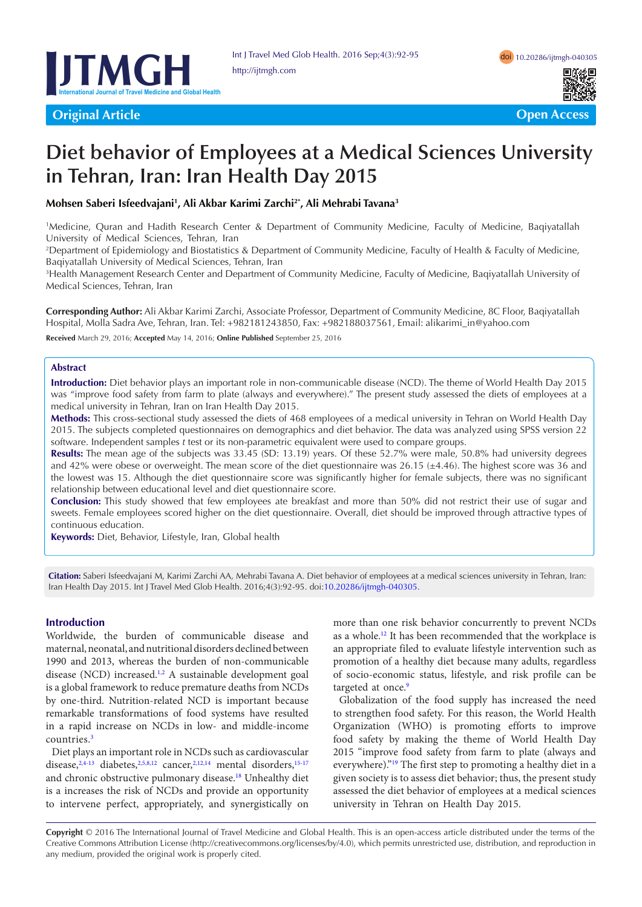

# **Diet behavior of Employees at a Medical Sciences University in Tehran, Iran: Iran Health Day 2015**

**Mohsen Saberi Isfeedvajani1 , Ali Akbar Karimi Zarchi2\*, Ali Mehrabi Tavana3**

1 Medicine, Quran and Hadith Research Center & Department of Community Medicine, Faculty of Medicine, Baqiyatallah University of Medical Sciences, Tehran, Iran

2 Department of Epidemiology and Biostatistics & Department of Community Medicine, Faculty of Health & Faculty of Medicine, Baqiyatallah University of Medical Sciences, Tehran, Iran

3 Health Management Research Center and Department of Community Medicine, Faculty of Medicine, Baqiyatallah University of Medical Sciences, Tehran, Iran

**Corresponding Author:** Ali Akbar Karimi Zarchi, Associate Professor, Department of Community Medicine, 8C Floor, Baqiyatallah Hospital, Molla Sadra Ave, Tehran, Iran. Tel: +982181243850, Fax: +982188037561, Email: alikarimi\_in@yahoo.com

**Received** March 29, 2016; **Accepted** May 14, 2016; **Online Published** September 25, 2016

#### **Abstract**

**Introduction:** Diet behavior plays an important role in non-communicable disease (NCD). The theme of World Health Day 2015 was "improve food safety from farm to plate (always and everywhere)." The present study assessed the diets of employees at a medical university in Tehran, Iran on Iran Health Day 2015.

**Methods:** This cross-sectional study assessed the diets of 468 employees of a medical university in Tehran on World Health Day 2015. The subjects completed questionnaires on demographics and diet behavior. The data was analyzed using SPSS version 22 software. Independent samples *t* test or its non-parametric equivalent were used to compare groups.

**Results:** The mean age of the subjects was 33.45 (SD: 13.19) years. Of these 52.7% were male, 50.8% had university degrees and 42% were obese or overweight. The mean score of the diet questionnaire was 26.15 (±4.46). The highest score was 36 and the lowest was 15. Although the diet questionnaire score was significantly higher for female subjects, there was no significant relationship between educational level and diet questionnaire score.

**Conclusion:** This study showed that few employees ate breakfast and more than 50% did not restrict their use of sugar and sweets. Female employees scored higher on the diet questionnaire. Overall, diet should be improved through attractive types of continuous education.

**Keywords:** Diet, Behavior, Lifestyle, Iran, Global health

**Citation:** Saberi Isfeedvajani M, Karimi Zarchi AA, Mehrabi Tavana A. Diet behavior of employees at a medical sciences university in Tehran, Iran: Iran Health Day 2015. Int J Travel Med Glob Health. 2016;4(3):92-95. doi[:10.20286/ijtmgh-040305](http://dx.doi.org/10.20286/ijtmgh-040305).

#### **Introduction**

Worldwide, the burden of communicable disease and maternal, neonatal, and nutritional disorders declined between 1990 and 2013, whereas the burden of non-communicable disease (NCD) increased.<sup>1[,2](#page-2-1)</sup> A sustainable development goal is a global framework to reduce premature deaths from NCDs by one-third. Nutrition-related NCD is important because remarkable transformations of food systems have resulted in a rapid increase on NCDs in low- and middle-income countries.[3](#page-2-2)

Diet plays an important role in NCDs such as cardiovascular disease,  $2,4-13$  $2,4-13$  $2,4-13$  diabetes,  $2,5,8,12$  $2,5,8,12$  $2,5,8,12$  $2,5,8,12$  cancer,  $2,12,14$  $2,12,14$  mental disorders,  $15-17$  $15-17$ and chronic obstructive pulmonary disease.<sup>18</sup> Unhealthy diet is a increases the risk of NCDs and provide an opportunity to intervene perfect, appropriately, and synergistically on

more than one risk behavior concurrently to prevent NCDs as a whole[.12](#page-2-7) It has been recommended that the workplace is an appropriate filed to evaluate lifestyle intervention such as promotion of a healthy diet because many adults, regardless of socio-economic status, lifestyle, and risk profile can be targeted at once.<sup>[9](#page-2-10)</sup>

Globalization of the food supply has increased the need to strengthen food safety. For this reason, the World Health Organization (WHO) is promoting efforts to improve food safety by making the theme of World Health Day 2015 "improve food safety from farm to plate (always and everywhere).["19](#page-3-2) The first step to promoting a healthy diet in a given society is to assess diet behavior; thus, the present study assessed the diet behavior of employees at a medical sciences university in Tehran on Health Day 2015.

**Copyright** © 2016 The International Journal of Travel Medicine and Global Health. This is an open-access article distributed under the terms of the Creative Commons Attribution License (http://creativecommons.org/licenses/by/4.0), which permits unrestricted use, distribution, and reproduction in any medium, provided the original work is properly cited.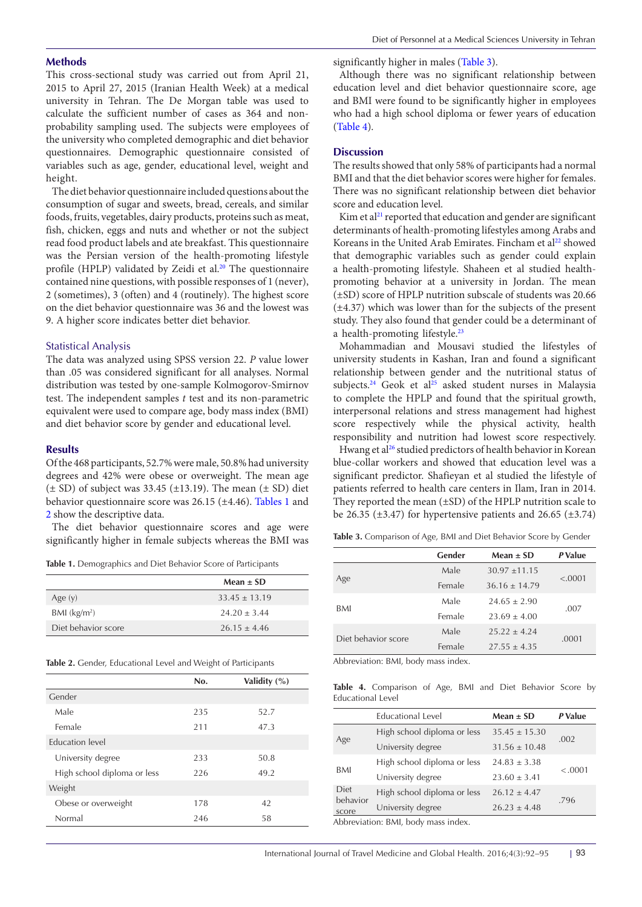#### **Methods**

This cross-sectional study was carried out from April 21, 2015 to April 27, 2015 (Iranian Health Week) at a medical university in Tehran. The De Morgan table was used to calculate the sufficient number of cases as 364 and nonprobability sampling used. The subjects were employees of the university who completed demographic and diet behavior questionnaires. Demographic questionnaire consisted of variables such as age, gender, educational level, weight and height.

The diet behavior questionnaire included questions about the consumption of sugar and sweets, bread, cereals, and similar foods, fruits, vegetables, dairy products, proteins such as meat, fish, chicken, eggs and nuts and whether or not the subject read food product labels and ate breakfast. This questionnaire was the Persian version of the health-promoting lifestyle profile (HPLP) validated by Zeidi et al. $20$  The questionnaire contained nine questions, with possible responses of 1 (never), 2 (sometimes), 3 (often) and 4 (routinely). The highest score on the diet behavior questionnaire was 36 and the lowest was 9. A higher score indicates better diet behavior.

### Statistical Analysis

The data was analyzed using SPSS version 22. *P* value lower than .05 was considered significant for all analyses. Normal distribution was tested by one-sample Kolmogorov-Smirnov test. The independent samples *t* test and its non-parametric equivalent were used to compare age, body mass index (BMI) and diet behavior score by gender and educational level.

#### **Results**

Of the 468 participants, 52.7% were male, 50.8% had university degrees and 42% were obese or overweight. The mean age  $(\pm SD)$  of subject was 33.45 ( $\pm 13.19$ ). The mean ( $\pm SD$ ) diet behavior questionnaire score was 26.15 (±4.46). [Tables 1](#page-1-0) and [2](#page-1-1) show the descriptive data.

The diet behavior questionnaire scores and age were significantly higher in female subjects whereas the BMI was

<span id="page-1-0"></span>**Table 1.** Demographics and Diet Behavior Score of Participants

|                          | Mean $\pm$ SD     |
|--------------------------|-------------------|
| Age $(y)$                | $33.45 \pm 13.19$ |
| BMI (kg/m <sup>2</sup> ) | $24.20 \pm 3.44$  |
| Diet behavior score      | $26.15 + 4.46$    |

<span id="page-1-1"></span>**Table 2.** Gender, Educational Level and Weight of Participants

|                             | No. | Validity $(\%)$ |
|-----------------------------|-----|-----------------|
| Gender                      |     |                 |
| Male                        | 235 | 52.7            |
| Female                      | 211 | 47.3            |
| Education level             |     |                 |
| University degree           | 233 | 50.8            |
| High school diploma or less | 226 | 49.2            |
| Weight                      |     |                 |
| Obese or overweight         | 178 | 42              |
| Normal                      | 246 | 58              |

significantly higher in males ([Table 3](#page-1-2)).

Although there was no significant relationship between education level and diet behavior questionnaire score, age and BMI were found to be significantly higher in employees who had a high school diploma or fewer years of education [\(Table 4\)](#page-1-3).

# **Discussion**

The results showed that only 58% of participants had a normal BMI and that the diet behavior scores were higher for females. There was no significant relationship between diet behavior score and education level.

Kim et al $^{21}$  $^{21}$  $^{21}$  reported that education and gender are significant determinants of health-promoting lifestyles among Arabs and Koreans in the United Arab Emirates. Fincham et al<sup>[22](#page-3-5)</sup> showed that demographic variables such as gender could explain a health-promoting lifestyle. Shaheen et al studied healthpromoting behavior at a university in Jordan. The mean (±SD) score of HPLP nutrition subscale of students was 20.66  $(\pm 4.37)$  which was lower than for the subjects of the present study. They also found that gender could be a determinant of a health-promoting lifestyle.<sup>[23](#page-3-6)</sup>

Mohammadian and Mousavi studied the lifestyles of university students in Kashan, Iran and found a significant relationship between gender and the nutritional status of subjects.<sup>24</sup> Geok et al<sup>[25](#page-3-8)</sup> asked student nurses in Malaysia to complete the HPLP and found that the spiritual growth, interpersonal relations and stress management had highest score respectively while the physical activity, health responsibility and nutrition had lowest score respectively.

Hwang et al<sup>[26](#page-3-9)</sup> studied predictors of health behavior in Korean blue-collar workers and showed that education level was a significant predictor. Shafieyan et al studied the lifestyle of patients referred to health care centers in Ilam, Iran in 2014. They reported the mean  $(\pm SD)$  of the HPLP nutrition scale to be 26.35  $(\pm 3.47)$  for hypertensive patients and 26.65  $(\pm 3.74)$ 

<span id="page-1-2"></span>**Table 3.** Comparison of Age, BMI and Diet Behavior Score by Gender

|                     | Gender | Mean $\pm$ SD     | P Value |  |
|---------------------|--------|-------------------|---------|--|
| Age                 | Male   | $30.97 \pm 11.15$ | < .0001 |  |
|                     | Female | $36.16 \pm 14.79$ |         |  |
| BMI                 | Male   | $24.65 \pm 2.90$  |         |  |
|                     | Female | $23.69 \pm 4.00$  | .007    |  |
| Diet behavior score | Male   | $25.22 \pm 4.24$  |         |  |
|                     | Female | $27.55 \pm 4.35$  | .0001   |  |

Abbreviation: BMI, body mass index.

<span id="page-1-3"></span>**Table 4.** Comparison of Age, BMI and Diet Behavior Score by Educational Level

|                                   | <b>Educational Level</b>    | Mean $\pm$ SD     | P Value |  |
|-----------------------------------|-----------------------------|-------------------|---------|--|
| Age                               | High school diploma or less | $35.45 \pm 15.30$ | .002    |  |
|                                   | University degree           | $31.56 \pm 10.48$ |         |  |
| BMI                               | High school diploma or less | $24.83 \pm 3.38$  | < .0001 |  |
|                                   | University degree           | $23.60 \pm 3.41$  |         |  |
| <b>Diet</b>                       | High school diploma or less | $26.12 \pm 4.47$  | .796    |  |
| behavior<br>score                 | University degree           | $26.23 \pm 4.48$  |         |  |
| Abbrovistion: RMI hody mass index |                             |                   |         |  |

Abbreviation: BMI, body mass index.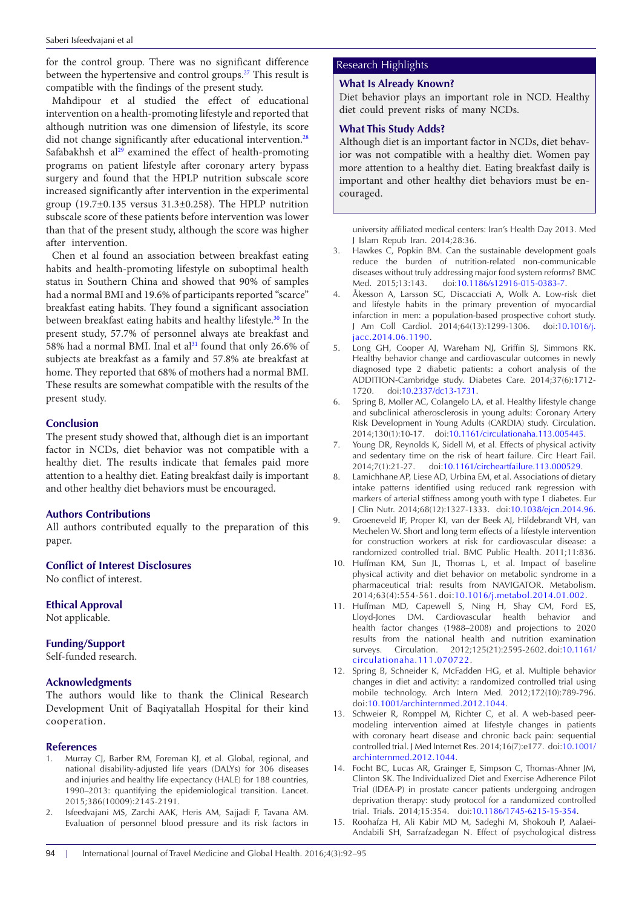for the control group. There was no significant difference between the hypertensive and control groups.<sup>27</sup> This result is compatible with the findings of the present study.

Mahdipour et al studied the effect of educational intervention on a health-promoting lifestyle and reported that although nutrition was one dimension of lifestyle, its score did not change significantly after educational intervention.<sup>[28](#page-3-11)</sup> Safabakhsh et al<sup>29</sup> examined the effect of health-promoting programs on patient lifestyle after coronary artery bypass surgery and found that the HPLP nutrition subscale score increased significantly after intervention in the experimental group (19.7±0.135 versus 31.3±0.258). The HPLP nutrition subscale score of these patients before intervention was lower than that of the present study, although the score was higher after intervention.

Chen et al found an association between breakfast eating habits and health-promoting lifestyle on suboptimal health status in Southern China and showed that 90% of samples had a normal BMI and 19.6% of participants reported "scarce" breakfast eating habits. They found a significant association between breakfast eating habits and healthy lifestyle.<sup>[30](#page-3-13)</sup> In the present study, 57.7% of personnel always ate breakfast and 58% had a normal BMI. Inal et al<sup>[31](#page-3-14)</sup> found that only 26.6% of subjects ate breakfast as a family and 57.8% ate breakfast at home. They reported that 68% of mothers had a normal BMI. These results are somewhat compatible with the results of the present study.

# **Conclusion**

The present study showed that, although diet is an important factor in NCDs, diet behavior was not compatible with a healthy diet. The results indicate that females paid more attention to a healthy diet. Eating breakfast daily is important and other healthy diet behaviors must be encouraged.

# **Authors Contributions**

All authors contributed equally to the preparation of this paper.

# **Conflict of Interest Disclosures**

No conflict of interest.

# **Ethical Approval**

Not applicable.

## **Funding/Support**

Self-funded research.

## **Acknowledgments**

The authors would like to thank the Clinical Research Development Unit of Baqiyatallah Hospital for their kind cooperation.

## **References**

- <span id="page-2-0"></span>1. Murray CJ, Barber RM, Foreman KJ, et al. Global, regional, and national disability-adjusted life years (DALYs) for 306 diseases and injuries and healthy life expectancy (HALE) for 188 countries, 1990–2013: quantifying the epidemiological transition. Lancet. 2015;386(10009):2145-2191.
- <span id="page-2-1"></span>2. Isfeedvajani MS, Zarchi AAK, Heris AM, Sajjadi F, Tavana AM. Evaluation of personnel blood pressure and its risk factors in

# Research Highlights

## **What Is Already Known?**

Diet behavior plays an important role in NCD. Healthy diet could prevent risks of many NCDs.

# **What This Study Adds?**

Although diet is an important factor in NCDs, diet behavior was not compatible with a healthy diet. Women pay more attention to a healthy diet. Eating breakfast daily is important and other healthy diet behaviors must be encouraged.

<span id="page-2-2"></span>university affiliated medical centers: Iran's Health Day 2013. Med J Islam Repub Iran. 2014;28:36.

- Hawkes C, Popkin BM. Can the sustainable development goals reduce the burden of nutrition-related non-communicable diseases without truly addressing major food system reforms? BMC Med. 2015;13:143. doi:[10.1186/s12916-015-0383-7](http://dx.doi.org/10.1186/s12916-015-0383-7).
- <span id="page-2-3"></span>4. Åkesson A, Larsson SC, Discacciati A, Wolk A. Low-risk diet and lifestyle habits in the primary prevention of myocardial infarction in men: a population-based prospective cohort study. J Am Coll Cardiol. 2014;64(13):1299-1306. doi[:10.1016/j.](http://dx.doi.org/10.1016/j.jacc.2014.06.1190) [jacc.2014.06.1190](http://dx.doi.org/10.1016/j.jacc.2014.06.1190).
- <span id="page-2-5"></span>5. Long GH, Cooper AJ, Wareham NJ, Griffin SJ, Simmons RK. Healthy behavior change and cardiovascular outcomes in newly diagnosed type 2 diabetic patients: a cohort analysis of the ADDITION-Cambridge study. Diabetes Care. 2014;37(6):1712- 1720. doi:[10.2337/dc13-1731.](http://dx.doi.org/10.2337/dc13-1731)
- 6. Spring B, Moller AC, Colangelo LA, et al. Healthy lifestyle change and subclinical atherosclerosis in young adults: Coronary Artery Risk Development in Young Adults (CARDIA) study. Circulation. 2014;130(1):10-17. doi:[10.1161/circulationaha.113.005445](http://dx.doi.org/10.1161/circulationaha.113.005445).
- 7. Young DR, Reynolds K, Sidell M, et al. Effects of physical activity and sedentary time on the risk of heart failure. Circ Heart Fail. 2014;7(1):21-27. doi[:10.1161/circheartfailure.113.000529.](http://dx.doi.org/10.1161/circheartfailure.113.000529)
- <span id="page-2-6"></span>8. Lamichhane AP, Liese AD, Urbina EM, et al. Associations of dietary intake patterns identified using reduced rank regression with markers of arterial stiffness among youth with type 1 diabetes. Eur J Clin Nutr. 2014;68(12):1327-1333. doi:[10.1038/ejcn.2014.96.](http://dx.doi.org/10.1038/ejcn.2014.96)
- <span id="page-2-10"></span>9. Groeneveld IF, Proper KI, van der Beek AJ, Hildebrandt VH, van Mechelen W. Short and long term effects of a lifestyle intervention for construction workers at risk for cardiovascular disease: a randomized controlled trial. BMC Public Health. 2011;11:836.
- 10. Huffman KM, Sun JL, Thomas L, et al. Impact of baseline physical activity and diet behavior on metabolic syndrome in a pharmaceutical trial: results from NAVIGATOR. Metabolism. 2014;63(4):554-561. doi:[10.1016/j.metabol.2014.01.002.](http://dx.doi.org/10.1016/j.metabol.2014.01.002)
- 11. Huffman MD, Capewell S, Ning H, Shay CM, Ford ES, Lloyd-Jones DM. Cardiovascular health behavior and health factor changes (1988–2008) and projections to 2020 results from the national health and nutrition examination surveys. Circulation. 2012;125(21):2595-2602.doi:[10.1161/](http://dx.doi.org/10.1161/circulationaha.111.070722) [circulationaha.111.070722.](http://dx.doi.org/10.1161/circulationaha.111.070722)
- <span id="page-2-7"></span>12. Spring B, Schneider K, McFadden HG, et al. Multiple behavior changes in diet and activity: a randomized controlled trial using mobile technology. Arch Intern Med. 2012;172(10):789-796. doi:[10.1001/archinternmed.2012.1044.](http://dx.doi.org/10.1001/archinternmed.2012.1044)
- <span id="page-2-4"></span>13. Schweier R, Romppel M, Richter C, et al. A web-based peermodeling intervention aimed at lifestyle changes in patients with coronary heart disease and chronic back pain: sequential controlled trial. J Med Internet Res. 2014;16(7):e177. doi:[10.1001/](http://dx.doi.org/10.1001/archinternmed.2012.1044) [archinternmed.2012.1044](http://dx.doi.org/10.1001/archinternmed.2012.1044).
- <span id="page-2-8"></span>14. Focht BC, Lucas AR, Grainger E, Simpson C, Thomas-Ahner JM, Clinton SK. The Individualized Diet and Exercise Adherence Pilot Trial (IDEA-P) in prostate cancer patients undergoing androgen deprivation therapy: study protocol for a randomized controlled trial. Trials. 2014;15:354. doi:[10.1186/1745-6215-15-354.](http://dx.doi.org/10.1186/1745-6215-15-354)
- <span id="page-2-9"></span>15. Roohafza H, Ali Kabir MD M, Sadeghi M, Shokouh P, Aalaei-Andabili SH, Sarrafzadegan N. Effect of psychological distress